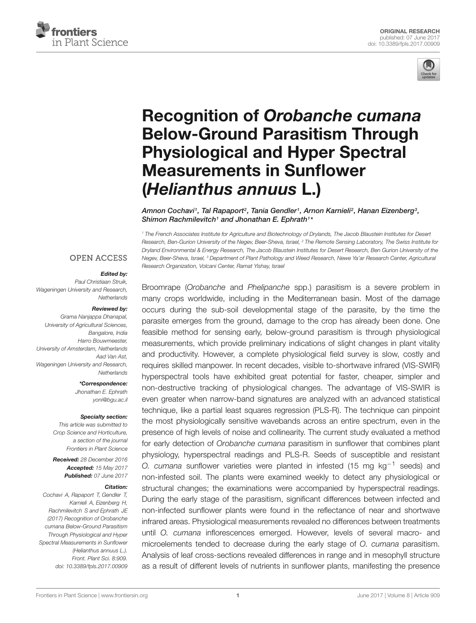



# Recognition of Orobanche cumana Below-Ground Parasitism Through Physiological and Hyper Spectral Measurements in Sunflower (Helianthus annuus L.)

Amnon Cochavi1, Tal Rapaport², Tania Gendler1, Arnon Karnieli², Hanan Eizenberg3, Shimon Rachmilevitch<sup>1</sup> and Jhonathan E. Ephrath<sup>1\*</sup>

*<sup>1</sup> The French Associates Institute for Agriculture and Biotechnology of Drylands, The Jacob Blaustein Institutes for Desert Research, Ben-Gurion University of the Negev, Beer-Sheva, Israel, <sup>2</sup> The Remote Sensing Laboratory, The Swiss Institute for Dryland Environmental & Energy Research, The Jacob Blaustein Institutes for Desert Research, Ben Gurion University of the Negev, Beer-Sheva, Israel, <sup>3</sup> Department of Plant Pathology and Weed Research, Newe Ya'ar Research Center, Agricultural Research Organization, Volcani Center, Ramat Yishay, Israel*

#### **OPEN ACCESS**

#### Edited by:

*Paul Christiaan Struik, Wageningen University and Research, Netherlands*

#### Reviewed by:

*Grama Nanjappa Dhanapal, University of Agricultural Sciences, Bangalore, India Harro Bouwmeester, University of Amsterdam, Netherlands Aad Van Ast, Wageningen University and Research, Netherlands*

\*Correspondence:

*Jhonathan E. Ephrath yoni@bgu.ac.il*

#### Specialty section:

*This article was submitted to Crop Science and Horticulture, a section of the journal Frontiers in Plant Science*

Received: *28 December 2016* Accepted: *15 May 2017* Published: *07 June 2017*

#### Citation:

*Cochavi A, Rapaport T, Gendler T, Karnieli A, Eizenberg H, Rachmilevitch S and Ephrath JE (2017) Recognition of Orobanche cumana Below-Ground Parasitism Through Physiological and Hyper Spectral Measurements in Sunflower (Helianthus annuus L.). Front. Plant Sci. 8:909. doi: 10.3389/fpls.2017.00909* Broomrape (*Orobanche* and *Phelipanche* spp.) parasitism is a severe problem in many crops worldwide, including in the Mediterranean basin. Most of the damage occurs during the sub-soil developmental stage of the parasite, by the time the parasite emerges from the ground, damage to the crop has already been done. One feasible method for sensing early, below-ground parasitism is through physiological measurements, which provide preliminary indications of slight changes in plant vitality and productivity. However, a complete physiological field survey is slow, costly and requires skilled manpower. In recent decades, visible to-shortwave infrared (VIS-SWIR) hyperspectral tools have exhibited great potential for faster, cheaper, simpler and non-destructive tracking of physiological changes. The advantage of VIS-SWIR is even greater when narrow-band signatures are analyzed with an advanced statistical technique, like a partial least squares regression (PLS-R). The technique can pinpoint the most physiologically sensitive wavebands across an entire spectrum, even in the presence of high levels of noise and collinearity. The current study evaluated a method for early detection of *Orobanche cumana* parasitism in sunflower that combines plant physiology, hyperspectral readings and PLS-R. Seeds of susceptible and resistant *O. cumana* sunflower varieties were planted in infested (15 mg kg<sup>-1</sup> seeds) and non-infested soil. The plants were examined weekly to detect any physiological or structural changes; the examinations were accompanied by hyperspectral readings. During the early stage of the parasitism, significant differences between infected and non-infected sunflower plants were found in the reflectance of near and shortwave infrared areas. Physiological measurements revealed no differences between treatments until *O. cumana* inflorescences emerged. However, levels of several macro- and microelements tended to decrease during the early stage of *O. cumana* parasitism. Analysis of leaf cross-sections revealed differences in range and in mesophyll structure as a result of different levels of nutrients in sunflower plants, manifesting the presence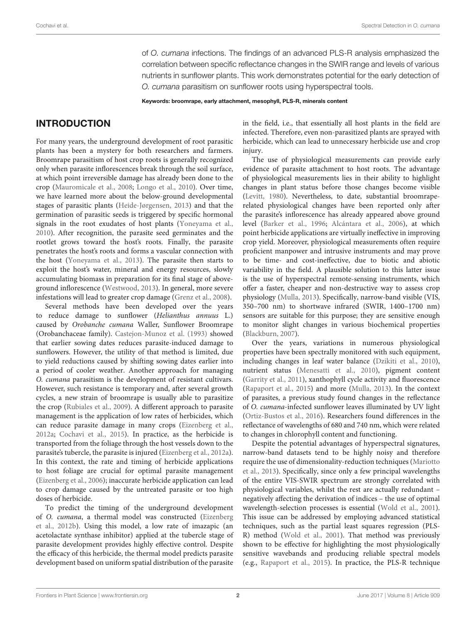of *O. cumana* infections. The findings of an advanced PLS-R analysis emphasized the correlation between specific reflectance changes in the SWIR range and levels of various nutrients in sunflower plants. This work demonstrates potential for the early detection of *O. cumana* parasitism on sunflower roots using hyperspectral tools.

Keywords: broomrape, early attachment, mesophyll, PLS-R, minerals content

# INTRODUCTION

For many years, the underground development of root parasitic plants has been a mystery for both researchers and farmers. Broomrape parasitism of host crop roots is generally recognized only when parasite inflorescences break through the soil surface, at which point irreversible damage has already been done to the crop (Mauromicale et al., 2008; Longo et al., 2010). Over time, we have learned more about the below-ground developmental stages of parasitic plants (Heide-Jørgensen, 2013) and that the germination of parasitic seeds is triggered by specific hormonal signals in the root exudates of host plants (Yoneyama et al., 2010). After recognition, the parasite seed germinates and the rootlet grows toward the host's roots. Finally, the parasite penetrates the host's roots and forms a vascular connection with the host (Yoneyama et al., 2013). The parasite then starts to exploit the host's water, mineral and energy resources, slowly accumulating biomass in preparation for its final stage of aboveground inflorescence (Westwood, 2013). In general, more severe infestations will lead to greater crop damage (Grenz et al., 2008).

Several methods have been developed over the years to reduce damage to sunflower (Helianthus annuus L.) caused by Orobanche cumana Waller, Sunflower Broomrape (Orobanchaceae family). Castejon-Munoz et al. (1993) showed that earlier sowing dates reduces parasite-induced damage to sunflowers. However, the utility of that method is limited, due to yield reductions caused by shifting sowing dates earlier into a period of cooler weather. Another approach for managing O. cumana parasitism is the development of resistant cultivars. However, such resistance is temporary and, after several growth cycles, a new strain of broomrape is usually able to parasitize the crop (Rubiales et al., 2009). A different approach to parasite management is the application of low rates of herbicides, which can reduce parasite damage in many crops (Eizenberg et al., 2012a; Cochavi et al., 2015). In practice, as the herbicide is transported from the foliage through the host vessels down to the parasite's tubercle, the parasite is injured (Eizenberg et al., 2012a). In this context, the rate and timing of herbicide applications to host foliage are crucial for optimal parasite management (Eizenberg et al., 2006); inaccurate herbicide application can lead to crop damage caused by the untreated parasite or too high doses of herbicide.

To predict the timing of the underground development of O. cumana, a thermal model was constructed (Eizenberg et al., 2012b). Using this model, a low rate of imazapic (an acetolactate synthase inhibitor) applied at the tubercle stage of parasite development provides highly effective control. Despite the efficacy of this herbicide, the thermal model predicts parasite development based on uniform spatial distribution of the parasite

in the field, i.e., that essentially all host plants in the field are infected. Therefore, even non-parasitized plants are sprayed with herbicide, which can lead to unnecessary herbicide use and crop injury.

The use of physiological measurements can provide early evidence of parasite attachment to host roots. The advantage of physiological measurements lies in their ability to highlight changes in plant status before those changes become visible (Levitt, 1980). Nevertheless, to date, substantial broomraperelated physiological changes have been reported only after the parasite's inflorescence has already appeared above ground level (Barker et al., 1996; Alcántara et al., 2006), at which point herbicide applications are virtually ineffective in improving crop yield. Moreover, physiological measurements often require proficient manpower and intrusive instruments and may prove to be time- and cost-ineffective, due to biotic and abiotic variability in the field. A plausible solution to this latter issue is the use of hyperspectral remote-sensing instruments, which offer a faster, cheaper and non-destructive way to assess crop physiology (Mulla, 2013). Specifically, narrow-band visible (VIS, 350–700 nm) to shortwave infrared (SWIR, 1400–1700 nm) sensors are suitable for this purpose; they are sensitive enough to monitor slight changes in various biochemical properties (Blackburn, 2007).

Over the years, variations in numerous physiological properties have been spectrally monitored with such equipment, including changes in leaf water balance (Dzikiti et al., 2010), nutrient status (Menesatti et al., 2010), pigment content (Garrity et al., 2011), xanthophyll cycle activity and fluorescence (Rapaport et al., 2015) and more (Mulla, 2013). In the context of parasites, a previous study found changes in the reflectance of O. cumana-infected sunflower leaves illuminated by UV light (Ortiz-Bustos et al., 2016). Researchers found differences in the reflectance of wavelengths of 680 and 740 nm, which were related to changes in chlorophyll content and functioning.

Despite the potential advantages of hyperspectral signatures, narrow-band datasets tend to be highly noisy and therefore require the use of dimensionality-reduction techniques (Mariotto et al., 2013). Specifically, since only a few principal wavelengths of the entire VIS-SWIR spectrum are strongly correlated with physiological variables, whilst the rest are actually redundant – negatively affecting the derivation of indices – the use of optimal wavelength-selection processes is essential (Wold et al., 2001). This issue can be addressed by employing advanced statistical techniques, such as the partial least squares regression (PLS-R) method (Wold et al., 2001). That method was previously shown to be effective for highlighting the most physiologically sensitive wavebands and producing reliable spectral models (e.g., Rapaport et al., 2015). In practice, the PLS-R technique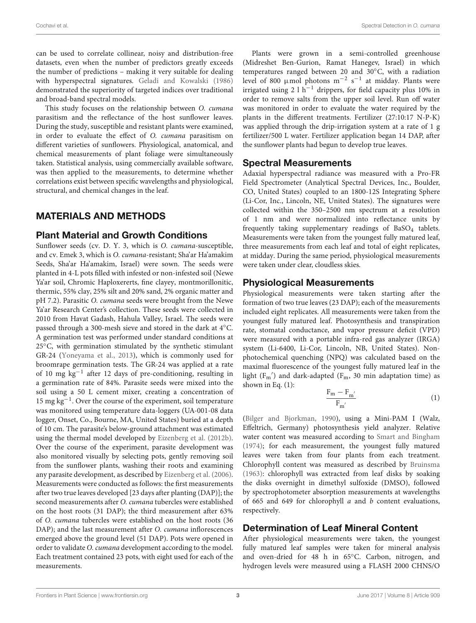can be used to correlate collinear, noisy and distribution-free datasets, even when the number of predictors greatly exceeds the number of predictions – making it very suitable for dealing with hyperspectral signatures. Geladi and Kowalski (1986) demonstrated the superiority of targeted indices over traditional and broad-band spectral models.

This study focuses on the relationship between O. cumana parasitism and the reflectance of the host sunflower leaves. During the study, susceptible and resistant plants were examined, in order to evaluate the effect of O. cumana parasitism on different varieties of sunflowers. Physiological, anatomical, and chemical measurements of plant foliage were simultaneously taken. Statistical analysis, using commercially available software, was then applied to the measurements, to determine whether correlations exist between specific wavelengths and physiological, structural, and chemical changes in the leaf.

# MATERIALS AND METHODS

#### Plant Material and Growth Conditions

Sunflower seeds (cv. D. Y. 3, which is O. cumana-susceptible, and cv. Emek 3, which is O. cumana-resistant; Sha'ar Ha'amakim Seeds, Sha'ar Ha'amakim, Israel) were sown. The seeds were planted in 4-L pots filled with infested or non-infested soil (Newe Ya'ar soil, Chromic Haploxererts, fine clayey, montmorillonitic, thermic, 55% clay, 25% silt and 20% sand, 2% organic matter and pH 7.2). Parasitic O. cumana seeds were brought from the Newe Ya'ar Research Center's collection. These seeds were collected in 2010 from Havat Gadash, Hahula Valley, Israel. The seeds were passed through a 300-mesh sieve and stored in the dark at 4◦C. A germination test was performed under standard conditions at 25<sup>°</sup>C, with germination stimulated by the synthetic stimulant GR-24 (Yoneyama et al., 2013), which is commonly used for broomrape germination tests. The GR-24 was applied at a rate of 10 mg kg−<sup>1</sup> after 12 days of pre-conditioning, resulting in a germination rate of 84%. Parasite seeds were mixed into the soil using a 50 L cement mixer, creating a concentration of 15 mg kg−<sup>1</sup> . Over the course of the experiment, soil temperature was monitored using temperature data-loggers (UA-001-08 data logger, Onset, Co., Bourne, MA, United States) buried at a depth of 10 cm. The parasite's below-ground attachment was estimated using the thermal model developed by Eizenberg et al. (2012b). Over the course of the experiment, parasite development was also monitored visually by selecting pots, gently removing soil from the sunflower plants, washing their roots and examining any parasite development, as described by Eizenberg et al. (2006). Measurements were conducted as follows: the first measurements after two true leaves developed [23 days after planting (DAP)]; the second measurements after O. cumana tubercles were established on the host roots (31 DAP); the third measurement after 63% of O. cumana tubercles were established on the host roots (36 DAP); and the last measurement after O. cumana inflorescences emerged above the ground level (51 DAP). Pots were opened in order to validate O. cumana development according to the model. Each treatment contained 23 pots, with eight used for each of the measurements.

Plants were grown in a semi-controlled greenhouse (Midreshet Ben-Gurion, Ramat Hanegev, Israel) in which temperatures ranged between 20 and 30◦C, with a radiation level of 800 µmol photons  $m^{-2}$  s<sup>-1</sup> at midday. Plants were irrigated using 2 l h<sup>-1</sup> drippers, for field capacity plus 10% in order to remove salts from the upper soil level. Run off water was monitored in order to evaluate the water required by the plants in the different treatments. Fertilizer (27:10:17 N-P-K) was applied through the drip-irrigation system at a rate of 1 g fertilizer/500 L water. Fertilizer application began 14 DAP, after the sunflower plants had begun to develop true leaves.

## Spectral Measurements

Adaxial hyperspectral radiance was measured with a Pro-FR Field Spectrometer (Analytical Spectral Devices, Inc., Boulder, CO, United States) coupled to an 1800-12S Integrating Sphere (Li-Cor, Inc., Lincoln, NE, United States). The signatures were collected within the 350–2500 nm spectrum at a resolution of 1 nm and were normalized into reflectance units by frequently taking supplementary readings of  $BaSO<sub>4</sub>$  tablets. Measurements were taken from the youngest fully matured leaf, three measurements from each leaf and total of eight replicates, at midday. During the same period, physiological measurements were taken under clear, cloudless skies.

#### Physiological Measurements

Physiological measurements were taken starting after the formation of two true leaves (23 DAP); each of the measurements included eight replicates. All measurements were taken from the youngest fully matured leaf. Photosynthesis and transpiration rate, stomatal conductance, and vapor pressure deficit (VPD) were measured with a portable infra-red gas analyzer (IRGA) system (Li-6400, Li-Cor, Lincoln, NB, United States). Nonphotochemical quenching (NPQ) was calculated based on the maximal fluorescence of the youngest fully matured leaf in the light  $(F_m')$  and dark-adapted  $(F_m, 30 \text{ min}$  adaptation time) as shown in Eq. (1):

$$
\frac{F_m - F_{m'}}{F_{m'}}\tag{1}
$$

(Bilger and Bjorkman, 1990), using a Mini-PAM I (Walz, Effeltrich, Germany) photosynthesis yield analyzer. Relative water content was measured according to Smart and Bingham (1974); for each measurement, the youngest fully matured leaves were taken from four plants from each treatment. Chlorophyll content was measured as described by Bruinsma (1963): chlorophyll was extracted from leaf disks by soaking the disks overnight in dimethyl sulfoxide (DMSO), followed by spectrophotometer absorption measurements at wavelengths of 665 and 649 for chlorophyll  $a$  and  $b$  content evaluations, respectively.

## Determination of Leaf Mineral Content

After physiological measurements were taken, the youngest fully matured leaf samples were taken for mineral analysis and oven-dried for 48 h in 65◦C. Carbon, nitrogen, and hydrogen levels were measured using a FLASH 2000 CHNS/O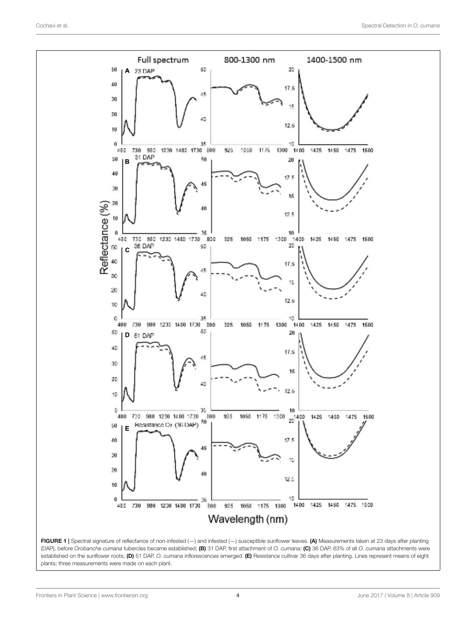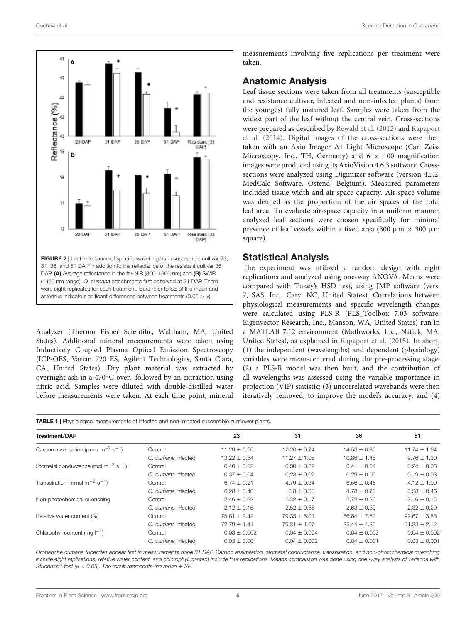

Analyzer (Thermo Fisher Scientific, Waltham, MA, United States). Additional mineral measurements were taken using Inductively Coupled Plasma Optical Emission Spectroscopy (ICP-OES, Varian 720 ES, Agilent Technologies, Santa Clara, CA, United States). Dry plant material was extracted by overnight ash in a 470◦C oven, followed by an extraction using nitric acid. Samples were diluted with double-distilled water before measurements were taken. At each time point, mineral

asterisks indicate significant differences between treatments (0.05  $\geq \alpha$ ).

measurements involving five replications per treatment were taken.

## Anatomic Analysis

Leaf tissue sections were taken from all treatments (susceptible and resistance cultivar, infected and non-infected plants) from the youngest fully matured leaf. Samples were taken from the widest part of the leaf without the central vein. Cross-sections were prepared as described by Rewald et al. (2012) and Rapaport et al. (2014). Digital images of the cross-sections were then taken with an Axio Imager A1 Light Microscope (Carl Zeiss Microscopy, Inc., TH, Germany) and  $6 \times 100$  magnification images were produced using its AxioVision 4.6.3 software. Crosssections were analyzed using Digimizer software (version 4.5.2, MedCalc Software, Ostend, Belgium). Measured parameters included tissue width and air space capacity. Air-space volume was defined as the proportion of the air spaces of the total leaf area. To evaluate air-space capacity in a uniform manner, analyzed leaf sections were chosen specifically for minimal presence of leaf vessels within a fixed area (300  $\mu$ m  $\times$  300  $\mu$ m square).

#### Statistical Analysis

The experiment was utilized a random design with eight replications and analyzed using one-way ANOVA. Means were compared with Tukey's HSD test, using JMP software (vers. 7, SAS, Inc., Cary, NC, United States). Correlations between physiological measurements and specific wavelength changes were calculated using PLS-R (PLS\_Toolbox 7.03 software, Eigenvector Research, Inc., Manson, WA, United States) run in a MATLAB 7.12 environment (Mathworks, Inc., Natick, MA, United States), as explained in Rapaport et al. (2015). In short, (1) the independent (wavelengths) and dependent (physiology) variables were mean-centered during the pre-processing stage; (2) a PLS-R model was then built, and the contribution of all wavelengths was assessed using the variable importance in projection (VIP) statistic; (3) uncorrelated wavebands were then iteratively removed, to improve the model's accuracy; and (4)

TABLE 1 | Physiological measurements of infected and non-infected susceptible sunflower plants.

| <b>Treatment/DAP</b>                                              |                    | 23               | 31               | 36               | 51               |
|-------------------------------------------------------------------|--------------------|------------------|------------------|------------------|------------------|
| Carbon assimilation ( $\mu$ mol m <sup>-2</sup> s <sup>-1</sup> ) | Control            | $11.29 + 0.66$   | $12.20 + 0.74$   | $14.53 \pm 0.80$ | $11.74 \pm 1.94$ |
|                                                                   | O. cumana infected | $13.22 \pm 0.84$ | $11.27 + 1.05$   | $10.86 \pm 1.48$ | $9.76 \pm 1.30$  |
| Stomatal conductance (mol $m^{-2}$ s <sup>-1</sup> )              | Control            | $0.40 \pm 0.02$  | $0.30 \pm 0.02$  | $0.41 \pm 0.04$  | $0.24 \pm 0.06$  |
|                                                                   | O. cumana infected | $0.37 + 0.04$    | $0.23 + 0.02$    | $0.29 + 0.06$    | $0.19 \pm 0.03$  |
| Transpiration (mmol $m^{-2}$ s <sup>-1</sup> )                    | Control            | $6.74 \pm 0.21$  | $4.79 \pm 0.34$  | $6.56 \pm 0.46$  | $4.12 \pm 1.00$  |
|                                                                   | O. cumana infected | $6.28 \pm 0.40$  | $3.8 \pm 0.30$   | $4.78 \pm 0.76$  | $3.38 \pm 0.46$  |
| Non-photochemical quenching                                       | Control            | $2.46 + 0.22$    | $2.32 + 0.17$    | $2.72 + 0.26$    | $2.16 \pm 0.15$  |
|                                                                   | O. cumana infected | $2.12 \pm 0.16$  | $2.52 \pm 0.86$  | $2.63 \pm 0.39$  | $2.32 \pm 0.20$  |
| Relative water content (%)                                        | Control            | $75.61 + 2.42$   | $79.35 + 5.01$   | $86.84 + 7.50$   | $92.67 + 3.83$   |
|                                                                   | O. cumana infected | $72.79 \pm 1.41$ | $79.31 \pm 1.07$ | $85.44 \pm 4.30$ | $91.33 \pm 2.12$ |
| Chlorophyll content (mg $ ^{-1}$ )                                | Control            | $0.03 \pm 0.002$ | $0.04 + 0.004$   | $0.04 + 0.003$   | $0.04 \pm 0.002$ |
|                                                                   | O. cumana infected | $0.03 \pm 0.001$ | $0.04 + 0.002$   | $0.04 \pm 0.001$ | $0.03 \pm 0.001$ |
|                                                                   |                    |                  |                  |                  |                  |

*Orobanche cumana tubercles appear first in measurements done 31 DAP. Carbon assimilation, stomatal conductance, transpiration, and non-photochemical quenching include eight replications; relative water content, and chlorophyll content include four replications. Means comparison was done using one -way analysis of variance with Student's t-test (*α < *0.05). The result represents the mean* ± *SE.*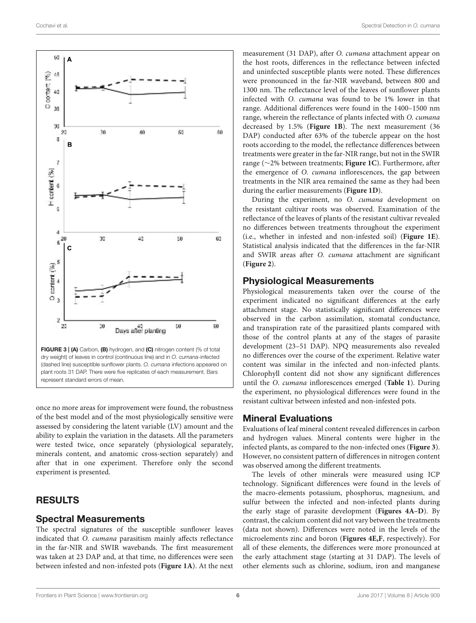

once no more areas for improvement were found, the robustness of the best model and of the most physiologically sensitive were assessed by considering the latent variable (LV) amount and the ability to explain the variation in the datasets. All the parameters were tested twice, once separately (physiological separately, minerals content, and anatomic cross-section separately) and after that in one experiment. Therefore only the second experiment is presented.

# **RESULTS**

#### Spectral Measurements

The spectral signatures of the susceptible sunflower leaves indicated that O. cumana parasitism mainly affects reflectance in the far-NIR and SWIR wavebands. The first measurement was taken at 23 DAP and, at that time, no differences were seen between infested and non-infested pots (**Figure 1A**). At the next measurement (31 DAP), after O. cumana attachment appear on the host roots, differences in the reflectance between infected and uninfected susceptible plants were noted. These differences were pronounced in the far-NIR waveband, between 800 and 1300 nm. The reflectance level of the leaves of sunflower plants infected with O. cumana was found to be 1% lower in that range. Additional differences were found in the 1400–1500 nm range, wherein the reflectance of plants infected with O. cumana decreased by 1.5% (**Figure 1B**). The next measurement (36 DAP) conducted after 63% of the tubercle appear on the host roots according to the model, the reflectance differences between treatments were greater in the far-NIR range, but not in the SWIR range (∼2% between treatments; **Figure 1C**). Furthermore, after the emergence of O. cumana inflorescences, the gap between treatments in the NIR area remained the same as they had been during the earlier measurements (**Figure 1D**).

During the experiment, no O. cumana development on the resistant cultivar roots was observed. Examination of the reflectance of the leaves of plants of the resistant cultivar revealed no differences between treatments throughout the experiment (i.e., whether in infested and non-infested soil) (**Figure 1E**). Statistical analysis indicated that the differences in the far-NIR and SWIR areas after O. cumana attachment are significant (**Figure 2**).

## Physiological Measurements

Physiological measurements taken over the course of the experiment indicated no significant differences at the early attachment stage. No statistically significant differences were observed in the carbon assimilation, stomatal conductance, and transpiration rate of the parasitized plants compared with those of the control plants at any of the stages of parasite development (23–51 DAP). NPQ measurements also revealed no differences over the course of the experiment. Relative water content was similar in the infected and non-infected plants. Chlorophyll content did not show any significant differences until the O. cumana inflorescences emerged (**Table 1**). During the experiment, no physiological differences were found in the resistant cultivar between infested and non-infested pots.

## Mineral Evaluations

Evaluations of leaf mineral content revealed differences in carbon and hydrogen values. Mineral contents were higher in the infected plants, as compared to the non-infected ones (**Figure 3**). However, no consistent pattern of differences in nitrogen content was observed among the different treatments.

The levels of other minerals were measured using ICP technology. Significant differences were found in the levels of the macro-elements potassium, phosphorus, magnesium, and sulfur between the infected and non-infected plants during the early stage of parasite development (**Figures 4A–D**). By contrast, the calcium content did not vary between the treatments (data not shown). Differences were noted in the levels of the microelements zinc and boron (**Figures 4E,F**, respectively). For all of these elements, the differences were more pronounced at the early attachment stage (starting at 31 DAP). The levels of other elements such as chlorine, sodium, iron and manganese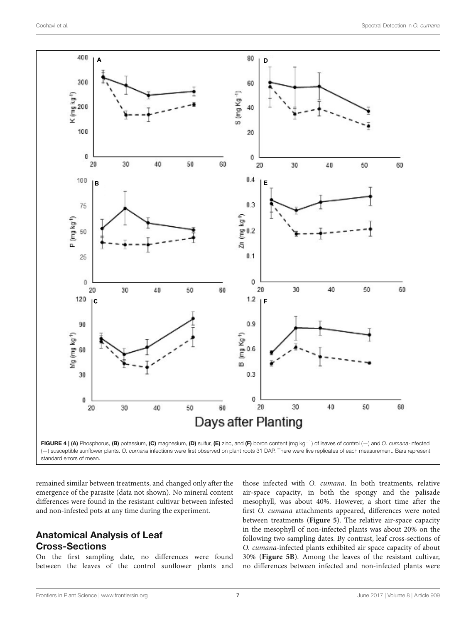



remained similar between treatments, and changed only after the emergence of the parasite (data not shown). No mineral content differences were found in the resistant cultivar between infested and non-infested pots at any time during the experiment.

# Anatomical Analysis of Leaf Cross-Sections

On the first sampling date, no differences were found between the leaves of the control sunflower plants and

those infected with O. cumana. In both treatments, relative air-space capacity, in both the spongy and the palisade mesophyll, was about 40%. However, a short time after the first O. cumana attachments appeared, differences were noted between treatments (**Figure 5**). The relative air-space capacity in the mesophyll of non-infected plants was about 20% on the following two sampling dates. By contrast, leaf cross-sections of O. cumana-infected plants exhibited air space capacity of about 30% (**Figure 5B**). Among the leaves of the resistant cultivar, no differences between infected and non-infected plants were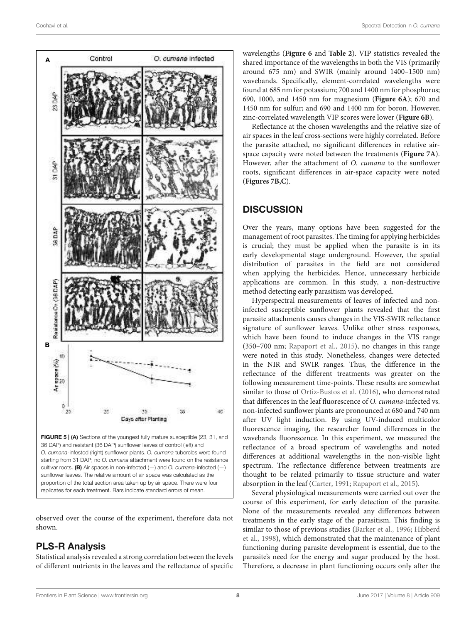

observed over the course of the experiment, therefore data not shown.

# PLS-R Analysis

Statistical analysis revealed a strong correlation between the levels of different nutrients in the leaves and the reflectance of specific wavelengths (**Figure 6** and **Table 2**). VIP statistics revealed the shared importance of the wavelengths in both the VIS (primarily around 675 nm) and SWIR (mainly around 1400–1500 nm) wavebands. Specifically, element-correlated wavelengths were found at 685 nm for potassium; 700 and 1400 nm for phosphorus; 690, 1000, and 1450 nm for magnesium (**Figure 6A**); 670 and 1450 nm for sulfur; and 690 and 1400 nm for boron. However, zinc-correlated wavelength VIP scores were lower (**Figure 6B**).

Reflectance at the chosen wavelengths and the relative size of air spaces in the leaf cross-sections were highly correlated. Before the parasite attached, no significant differences in relative airspace capacity were noted between the treatments (**Figure 7A**). However, after the attachment of O. cumana to the sunflower roots, significant differences in air-space capacity were noted (**Figures 7B,C**).

# **DISCUSSION**

Over the years, many options have been suggested for the management of root parasites. The timing for applying herbicides is crucial; they must be applied when the parasite is in its early developmental stage underground. However, the spatial distribution of parasites in the field are not considered when applying the herbicides. Hence, unnecessary herbicide applications are common. In this study, a non-destructive method detecting early parasitism was developed.

Hyperspectral measurements of leaves of infected and noninfected susceptible sunflower plants revealed that the first parasite attachments causes changes in the VIS-SWIR reflectance signature of sunflower leaves. Unlike other stress responses, which have been found to induce changes in the VIS range (350–700 nm; Rapaport et al., 2015), no changes in this range were noted in this study. Nonetheless, changes were detected in the NIR and SWIR ranges. Thus, the difference in the reflectance of the different treatments was greater on the following measurement time-points. These results are somewhat similar to those of Ortiz-Bustos et al. (2016), who demonstrated that differences in the leaf fluorescence of O. cumana-infected vs. non-infected sunflower plants are pronounced at 680 and 740 nm after UV light induction. By using UV-induced multicolor fluorescence imaging, the researcher found differences in the wavebands fluorescence. In this experiment, we measured the reflectance of a broad spectrum of wavelengths and noted differences at additional wavelengths in the non-visible light spectrum. The reflectance difference between treatments are thought to be related primarily to tissue structure and water absorption in the leaf (Carter, 1991; Rapaport et al., 2015).

Several physiological measurements were carried out over the course of this experiment, for early detection of the parasite. None of the measurements revealed any differences between treatments in the early stage of the parasitism. This finding is similar to those of previous studies (Barker et al., 1996; Hibberd et al., 1998), which demonstrated that the maintenance of plant functioning during parasite development is essential, due to the parasite's need for the energy and sugar produced by the host. Therefore, a decrease in plant functioning occurs only after the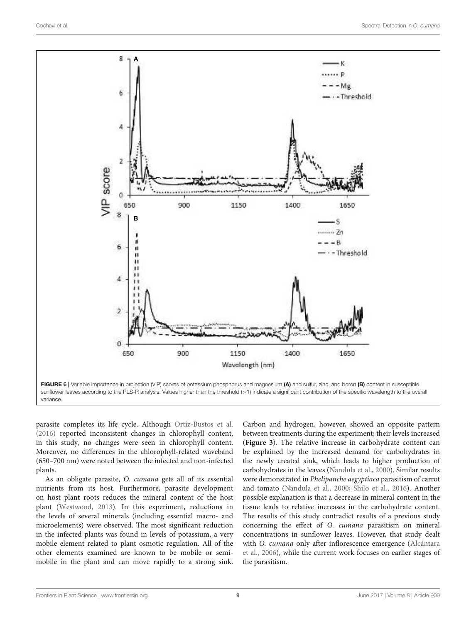

parasite completes its life cycle. Although Ortiz-Bustos et al. (2016) reported inconsistent changes in chlorophyll content, in this study, no changes were seen in chlorophyll content. Moreover, no differences in the chlorophyll-related waveband (650–700 nm) were noted between the infected and non-infected plants.

As an obligate parasite, O. cumana gets all of its essential nutrients from its host. Furthermore, parasite development on host plant roots reduces the mineral content of the host plant (Westwood, 2013). In this experiment, reductions in the levels of several minerals (including essential macro- and microelements) were observed. The most significant reduction in the infected plants was found in levels of potassium, a very mobile element related to plant osmotic regulation. All of the other elements examined are known to be mobile or semimobile in the plant and can move rapidly to a strong sink.

Carbon and hydrogen, however, showed an opposite pattern between treatments during the experiment; their levels increased (**Figure 3**). The relative increase in carbohydrate content can be explained by the increased demand for carbohydrates in the newly created sink, which leads to higher production of carbohydrates in the leaves (Nandula et al., 2000). Similar results were demonstrated in Phelipanche aegyptiaca parasitism of carrot and tomato (Nandula et al., 2000; Shilo et al., 2016). Another possible explanation is that a decrease in mineral content in the tissue leads to relative increases in the carbohydrate content. The results of this study contradict results of a previous study concerning the effect of O. cumana parasitism on mineral concentrations in sunflower leaves. However, that study dealt with O. cumana only after inflorescence emergence (Alcántara et al., 2006), while the current work focuses on earlier stages of the parasitism.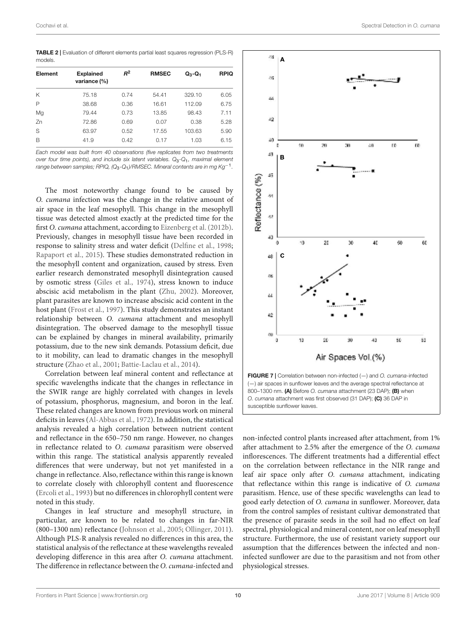TABLE 2 | Evaluation of different elements partial least squares regression (PLS-R) models.

| Element | <b>Explained</b><br>variance (%) | $R^2$ | <b>RMSEC</b> | $Q_3 - Q_1$ | <b>RPIQ</b> |
|---------|----------------------------------|-------|--------------|-------------|-------------|
| Κ       | 75.18                            | 0.74  | 54.41        | 329.10      | 6.05        |
| P       | 38.68                            | 0.36  | 16.61        | 112.09      | 6.75        |
| Mg      | 79.44                            | 0.73  | 13.85        | 98.43       | 7.11        |
| Zn      | 72.86                            | 0.69  | 0.07         | 0.38        | 5.28        |
| S       | 63.97                            | 0.52  | 17.55        | 103.63      | 5.90        |
| B       | 41.9                             | 0.42  | 0.17         | 1.03        | 6.15        |
|         |                                  |       |              |             |             |

*Each model was built from 40 observations (five replicates from two treatments over four time points), and include six latent variables. Q*3*-Q*1*, maximal element range between samples; RPIQ, (Q*3*-Q*1*)/RMSEC. Mineral contents are in mg Kg*−<sup>1</sup> *.*

The most noteworthy change found to be caused by O. cumana infection was the change in the relative amount of air space in the leaf mesophyll. This change in the mesophyll tissue was detected almost exactly at the predicted time for the first O. cumana attachment, according to Eizenberg et al. (2012b). Previously, changes in mesophyll tissue have been recorded in response to salinity stress and water deficit (Delfine et al., 1998; Rapaport et al., 2015). These studies demonstrated reduction in the mesophyll content and organization, caused by stress. Even earlier research demonstrated mesophyll disintegration caused by osmotic stress (Giles et al., 1974), stress known to induce abscisic acid metabolism in the plant (Zhu, 2002). Moreover, plant parasites are known to increase abscisic acid content in the host plant (Frost et al., 1997). This study demonstrates an instant relationship between O. cumana attachment and mesophyll disintegration. The observed damage to the mesophyll tissue can be explained by changes in mineral availability, primarily potassium, due to the new sink demands. Potassium deficit, due to it mobility, can lead to dramatic changes in the mesophyll structure (Zhao et al., 2001; Battie-Laclau et al., 2014).

Correlation between leaf mineral content and reflectance at specific wavelengths indicate that the changes in reflectance in the SWIR range are highly correlated with changes in levels of potassium, phosphorus, magnesium, and boron in the leaf. These related changes are known from previous work on mineral deficits in leaves (Al-Abbas et al., 1972). In addition, the statistical analysis revealed a high correlation between nutrient content and reflectance in the 650–750 nm range. However, no changes in reflectance related to O. cumana parasitism were observed within this range. The statistical analysis apparently revealed differences that were underway, but not yet manifested in a change in reflectance. Also, reflectance within this range is known to correlate closely with chlorophyll content and fluorescence (Ercoli et al., 1993) but no differences in chlorophyll content were noted in this study.

Changes in leaf structure and mesophyll structure, in particular, are known to be related to changes in far-NIR (800–1300 nm) reflectance (Johnson et al., 2005; Ollinger, 2011). Although PLS-R analysis revealed no differences in this area, the statistical analysis of the reflectance at these wavelengths revealed developing difference in this area after O. cumana attachment. The difference in reflectance between the O. cumana-infected and



non-infected control plants increased after attachment, from 1% after attachment to 2.5% after the emergence of the O. cumana inflorescences. The different treatments had a differential effect on the correlation between reflectance in the NIR range and leaf air space only after O. cumana attachment, indicating that reflectance within this range is indicative of O. cumana parasitism. Hence, use of these specific wavelengths can lead to good early detection of O. cumana in sunflower. Moreover, data from the control samples of resistant cultivar demonstrated that the presence of parasite seeds in the soil had no effect on leaf spectral, physiological and mineral content, nor on leaf mesophyll structure. Furthermore, the use of resistant variety support our assumption that the differences between the infected and noninfected sunflower are due to the parasitism and not from other physiological stresses.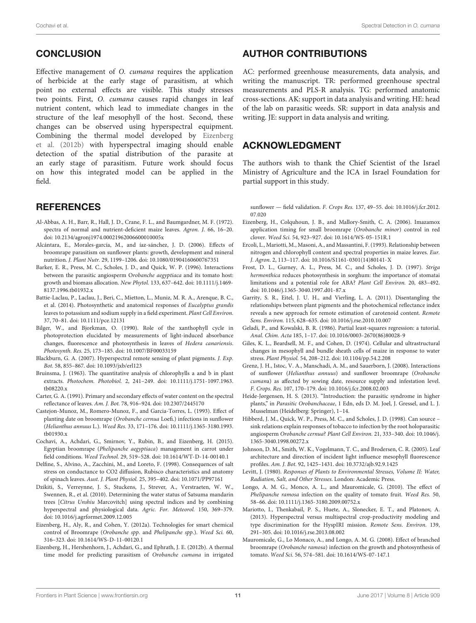# **CONCLUSION**

Effective management of O. cumana requires the application of herbicide at the early stage of parasitism, at which point no external effects are visible. This study stresses two points. First, O. cumana causes rapid changes in leaf nutrient content, which lead to immediate changes in the structure of the leaf mesophyll of the host. Second, these changes can be observed using hyperspectral equipment. Combining the thermal model developed by Eizenberg et al. (2012b) with hyperspectral imaging should enable detection of the spatial distribution of the parasite at an early stage of parasitism. Future work should focus on how this integrated model can be applied in the field.

## **REFERENCES**

- Al-Abbas, A. H., Barr, R., Hall, J. D., Crane, F. L., and Baumgardner, M. F. (1972). spectra of normal and nutrient-deficient maize leaves. Agron. J. 66, 16–20. doi: 10.2134/agronj1974.00021962006600010005x
- Alcántara, E., Morales-garcía, M., and íaz-sánchez, J. D. (2006). Effects of broomrape parasitism on sunflower plants: growth, development and mineral nutrition. J. Plant Nutr. 29, 1199–1206. doi: 10.1080/01904160600767351
- Barker, E. R., Press, M. C., Scholes, J. D., and Quick, W. P. (1996). Interactions between the parasitic angiosperm Orobanche aegyptiaca and its tomato host: growth and biomass allocation. New Phytol. 133, 637–642. doi: 10.1111/j.1469- 8137.1996.tb01932.x
- Battie-Laclau, P., Laclau, J., Beri, C., Mietton, L., Muniz, M. R. A., Arenque, B. C., et al. (2014). Photosynthetic and anatomical responses of Eucalyptus grandis leaves to potassium and sodium supply in a field experiment. Plant Cell Environ. 37, 70–81. doi: 10.1111/pce.12131
- Bilger, W., and Bjorkman, O. (1990). Role of the xanthophyll cycle in photoprotection elucidated by measurements of light-induced absorbance changes, fluorescence and photosynthesis in leaves of Hedera canariensis. Photosynth. Res. 25, 173–185. doi: 10.1007/BF00033159
- Blackburn, G. A. (2007). Hyperspectral remote sensing of plant pigments. J. Exp. Bot. 58, 855–867. doi: 10.1093/jxb/erl123
- Bruinsma, J. (1963). The quantitative analysis of chlorophylls a and b in plant extracts. Photochem. Photobiol. 2, 241–249. doi: 10.1111/j.1751-1097.1963. tb08220.x
- Carter, G. A. (1991). Primary and secondary effects of water content on the spectral reflectance of leaves. Am. J. Bot. 78, 916–924. doi: 10.2307/2445170
- Castejon-Munoz, M., Romero-Munoz, F., and Garcia-Torres, L. (1993). Effect of planting date on broomrape (Orobanche cernua Loefi.) infections in sunflower (Helianthus annuus L.). Weed Res. 33, 171–176. doi: 10.1111/j.1365-3180.1993. tb01930.x
- Cochavi, A., Achdari, G., Smirnov, Y., Rubin, B., and Eizenberg, H. (2015). Egyptian broomrape (Phelipanche aegyptiaca) management in carrot under field conditions. Weed Technol. 29, 519–528. doi: 10.1614/WT-D-14-00140.1
- Delfine, S., Alvino, A., Zacchini, M., and Loreto, F. (1998). Consequences of salt stress on conductance to CO2 diffusion, Rubisco characteristics and anatomy of spinach leaves. Aust. J. Plant Physiol. 25, 395–402. doi: 10.1071/PP97161
- Dzikiti, S., Verreynne, J. S., Stuckens, J., Strever, A., Verstraeten, W. W., Swennen, R., et al. (2010). Determining the water status of Satsuma mandarin trees [Citrus Unshiu Marcovitch] using spectral indices and by combining hyperspectral and physiological data. Agric. For. Meteorol. 150, 369–379. doi: 10.1016/j.agrformet.2009.12.005
- Eizenberg, H., Aly, R., and Cohen, Y. (2012a). Technologies for smart chemical control of Broomrape (Orobanche spp. and Phelipanche spp.). Weed Sci. 60, 316–323. doi: 10.1614/WS-D-11-00120.1
- Eizenberg, H., Hershenhorn, J., Achdari, G., and Ephrath, J. E. (2012b). A thermal time model for predicting parasitism of Orobanche cumana in irrigated

# AUTHOR CONTRIBUTIONS

AC: performed greenhouse measurements, data analysis, and writing the manuscript. TR: performed greenhouse spectral measurements and PLS-R analysis. TG: performed anatomic cross-sections. AK: support in data analysis and writing. HE: head of the lab on parasitic weeds. SR: support in data analysis and writing. JE: support in data analysis and writing.

# ACKNOWLEDGMENT

The authors wish to thank the Chief Scientist of the Israel Ministry of Agriculture and the ICA in Israel Foundation for partial support in this study.

sunflower — field validation. F. Crops Res. 137, 49–55. doi: 10.1016/j.fcr.2012. 07.020

- Eizenberg, H., Colquhoun, J. B., and Mallory-Smith, C. A. (2006). Imazamox application timing for small broomrape (Orobanche minor) control in red clover. Weed Sci. 54, 923–927. doi: 10.1614/WS-05-151R.1
- Ercoli, L., Mariotti, M., Masoni, A., and Massantini, F. (1993). Relationship between nitrogen and chlorophyll content and spectral properties in maize leaves. Eur. J. Agron. 2, 113–117. doi: 10.1016/S1161-0301(14)80141-X
- Frost, D. L., Gurney, A. L., Press, M. C., and Scholes, J. D. (1997). Striga hermonthica reduces photosynthesis in sorghum: the importance of stomatai limitations and a potential role for ABA? Plant Cell Environ. 20, 483–492. doi: 10.1046/j.1365-3040.1997.d01-87.x
- Garrity, S. R., Eitel, J. U. H., and Vierling, L. A. (2011). Disentangling the relationships between plant pigments and the photochemical reflectance index reveals a new approach for remote estimation of carotenoid content. Remote Sens. Environ. 115, 628–635. doi: 10.1016/j.rse.2010.10.007
- Geladi, P., and Kowalski, B. R. (1986). Partial least-squares regression: a tutorial. Anal. Chim. Acta 185, 1–17. doi: 10.1016/0003-2670(86)80028-9
- Giles, K. L., Beardsell, M. F., and Cohen, D. (1974). Cellular and ultrastructural changes in mesophyll and bundle sheath cells of maize in response to water stress. Plant Physiol. 54, 208–212. doi: 10.1104/pp.54.2.208
- Grenz, J. H., Istoc, V. A., Manschadi, A. M., and Sauerborn, J. (2008). Interactions of sunflower (Helianthus annuus) and sunflower broomrape (Orobanche cumana) as affected by sowing date, resource supply and infestation level. F. Crops. Res. 107, 170–179. doi: 10.1016/j.fcr.2008.02.003
- Heide-Jørgensen, H. S. (2013). "Introduction: the parasitic syndrome in higher plants," in Parasitic Orobanchaceae, 1 Edn, eds D. M. Joel, J. Gressel, and L. J. Musselman (Heidelberg: Springer), 1–14.
- Hibberd, J. M., Quick, W. P., Press, M. C., and Scholes, J. D. (1998). Can source sink relations explain responses of tobacco to infection by the root holoparasitic angiosperm Orobanche cernua? Plant Cell Environ. 21, 333–340. doi: 10.1046/j. 1365-3040.1998.00272.x
- Johnson, D. M., Smith, W. K., Vogelmann, T. C., and Brodersen, C. R. (2005). Leaf architecture and direction of incident light influence mesophyll fluorescence profiles. Am. J. Bot. 92, 1425–1431. doi: 10.3732/ajb.92.9.1425
- Levitt, J. (1980). Responses of Plants to Environmental Stresses, Volume II: Water, Radiation, Salt, and Other Stresses. London: Academic Press.
- Longo, A. M. G., Monco, A. L., and Mauromicale, G. (2010). The effect of Phelipanche ramosa infection on the quality of tomato fruit. Weed Res. 50, 58–66. doi: 10.1111/j.1365-3180.2009.00752.x
- Mariotto, I., Thenkabail, P. S., Huete, A., Slonecker, E. T., and Platonov, A. (2013). Hyperspectral versus multispectral crop-productivity modeling and type discrimination for the HyspIRI mission. Remote Sens. Environ. 139, 291–305. doi: 10.1016/j.rse.2013.08.002
- Mauromicale, G., Lo Monaco, A., and Longo, A. M. G. (2008). Effect of branched broomrape (Orobanche ramosa) infection on the growth and photosynthesis of tomato. Weed Sci. 56, 574–581. doi: 10.1614/WS-07-147.1